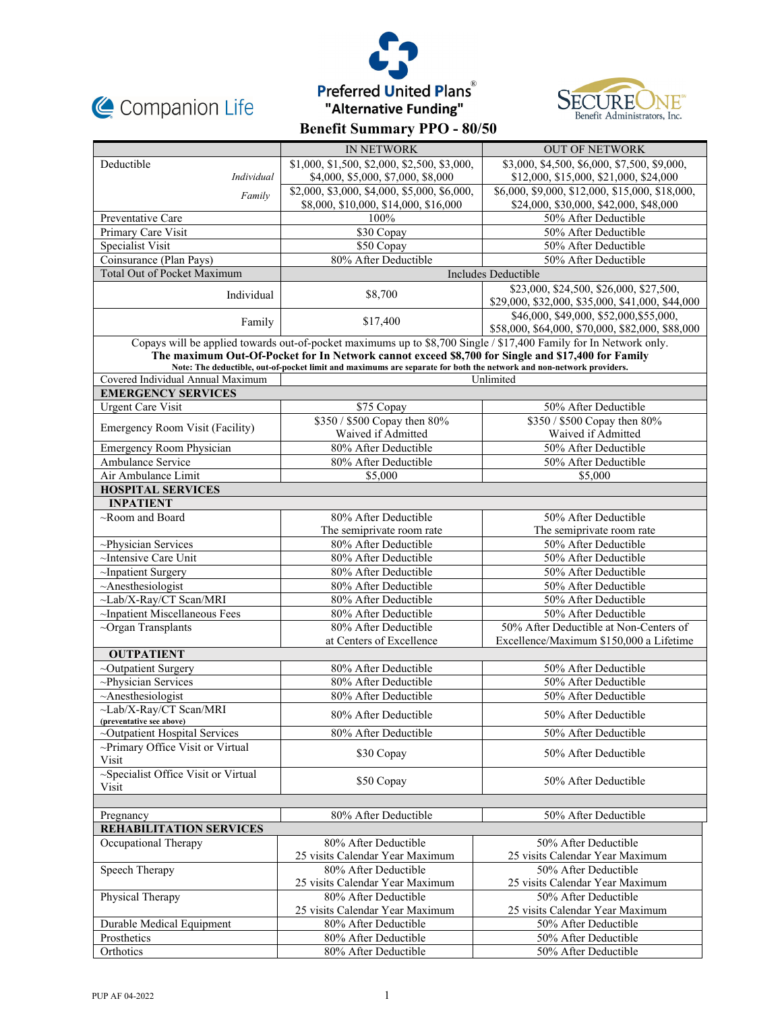





|                                                                                                                     | <b>IN NETWORK</b>                                       | <b>OUT OF NETWORK</b>                                                                       |  |  |  |  |  |  |
|---------------------------------------------------------------------------------------------------------------------|---------------------------------------------------------|---------------------------------------------------------------------------------------------|--|--|--|--|--|--|
| Deductible                                                                                                          | \$1,000, \$1,500, \$2,000, \$2,500, \$3,000,            | \$3,000, \$4,500, \$6,000, \$7,500, \$9,000,                                                |  |  |  |  |  |  |
| Individual                                                                                                          | \$4,000, \$5,000, \$7,000, \$8,000                      | \$12,000, \$15,000, \$21,000, \$24,000                                                      |  |  |  |  |  |  |
| Family                                                                                                              | \$2,000, \$3,000, \$4,000, \$5,000, \$6,000,            | \$6,000, \$9,000, \$12,000, \$15,000, \$18,000,                                             |  |  |  |  |  |  |
|                                                                                                                     | \$8,000, \$10,000, \$14,000, \$16,000                   | \$24,000, \$30,000, \$42,000, \$48,000                                                      |  |  |  |  |  |  |
| Preventative Care                                                                                                   | 100%                                                    | 50% After Deductible                                                                        |  |  |  |  |  |  |
| Primary Care Visit                                                                                                  | \$30 Copay                                              | 50% After Deductible                                                                        |  |  |  |  |  |  |
| Specialist Visit                                                                                                    | \$50 Copay                                              | 50% After Deductible                                                                        |  |  |  |  |  |  |
| Coinsurance (Plan Pays)                                                                                             | 80% After Deductible                                    | 50% After Deductible                                                                        |  |  |  |  |  |  |
| <b>Total Out of Pocket Maximum</b>                                                                                  | Includes Deductible                                     |                                                                                             |  |  |  |  |  |  |
| Individual                                                                                                          | \$8,700                                                 | \$23,000, \$24,500, \$26,000, \$27,500,<br>\$29,000, \$32,000, \$35,000, \$41,000, \$44,000 |  |  |  |  |  |  |
| Family                                                                                                              | \$17,400                                                | \$46,000, \$49,000, \$52,000, \$55,000,<br>\$58,000, \$64,000, \$70,000, \$82,000, \$88,000 |  |  |  |  |  |  |
| Copays will be applied towards out-of-pocket maximums up to \$8,700 Single / \$17,400 Family for In Network only.   |                                                         |                                                                                             |  |  |  |  |  |  |
| The maximum Out-Of-Pocket for In Network cannot exceed \$8,700 for Single and \$17,400 for Family                   |                                                         |                                                                                             |  |  |  |  |  |  |
| Note: The deductible, out-of-pocket limit and maximums are separate for both the network and non-network providers. |                                                         |                                                                                             |  |  |  |  |  |  |
| Covered Individual Annual Maximum<br>Unlimited<br><b>EMERGENCY SERVICES</b>                                         |                                                         |                                                                                             |  |  |  |  |  |  |
| <b>Urgent Care Visit</b>                                                                                            | \$75 Copay                                              | 50% After Deductible                                                                        |  |  |  |  |  |  |
|                                                                                                                     | \$350 / \$500 Copay then 80%                            | \$350 / \$500 Copay then 80%                                                                |  |  |  |  |  |  |
| Emergency Room Visit (Facility)                                                                                     | Waived if Admitted                                      | Waived if Admitted                                                                          |  |  |  |  |  |  |
| <b>Emergency Room Physician</b>                                                                                     | 80% After Deductible                                    | 50% After Deductible                                                                        |  |  |  |  |  |  |
| Ambulance Service                                                                                                   | 80% After Deductible                                    | 50% After Deductible                                                                        |  |  |  |  |  |  |
| Air Ambulance Limit                                                                                                 | \$5,000                                                 | \$5,000                                                                                     |  |  |  |  |  |  |
| <b>HOSPITAL SERVICES</b>                                                                                            |                                                         |                                                                                             |  |  |  |  |  |  |
| <b>INPATIENT</b>                                                                                                    |                                                         |                                                                                             |  |  |  |  |  |  |
| $\sim$ Room and Board                                                                                               | 80% After Deductible                                    | 50% After Deductible                                                                        |  |  |  |  |  |  |
|                                                                                                                     | The semiprivate room rate                               | The semiprivate room rate                                                                   |  |  |  |  |  |  |
| $\sim$ Physician Services                                                                                           | 80% After Deductible                                    | 50% After Deductible                                                                        |  |  |  |  |  |  |
| ~Intensive Care Unit                                                                                                | 80% After Deductible                                    | 50% After Deductible                                                                        |  |  |  |  |  |  |
| ~Inpatient Surgery                                                                                                  | 80% After Deductible                                    | 50% After Deductible                                                                        |  |  |  |  |  |  |
| $~\sim$ Anesthesiologist                                                                                            | 80% After Deductible                                    | 50% After Deductible                                                                        |  |  |  |  |  |  |
| ~Lab/X-Ray/CT Scan/MRI                                                                                              | 80% After Deductible                                    | 50% After Deductible                                                                        |  |  |  |  |  |  |
| ~Inpatient Miscellaneous Fees                                                                                       | 80% After Deductible                                    | 50% After Deductible                                                                        |  |  |  |  |  |  |
| $\sim$ Organ Transplants                                                                                            | 80% After Deductible<br>at Centers of Excellence        | 50% After Deductible at Non-Centers of                                                      |  |  |  |  |  |  |
| <b>OUTPATIENT</b>                                                                                                   |                                                         | Excellence/Maximum \$150,000 a Lifetime                                                     |  |  |  |  |  |  |
| ~Outpatient Surgery                                                                                                 | 80% After Deductible                                    | 50% After Deductible                                                                        |  |  |  |  |  |  |
| ~Physician Services                                                                                                 | 80% After Deductible                                    | 50% After Deductible                                                                        |  |  |  |  |  |  |
| $~\sim$ Anesthesiologist                                                                                            | 80% After Deductible                                    | 50% After Deductible                                                                        |  |  |  |  |  |  |
| $\sim$ Lab/X-Rav/CT Scan/MRI                                                                                        |                                                         |                                                                                             |  |  |  |  |  |  |
| (preventative see above)                                                                                            | 80% After Deductible                                    | 50% After Deductible                                                                        |  |  |  |  |  |  |
| ~Outpatient Hospital Services                                                                                       | 80% After Deductible                                    | 50% After Deductible                                                                        |  |  |  |  |  |  |
| ~Primary Office Visit or Virtual<br>Visit                                                                           | \$30 Copay                                              | 50% After Deductible                                                                        |  |  |  |  |  |  |
| ~Specialist Office Visit or Virtual<br>Visit                                                                        | \$50 Copay                                              | 50% After Deductible                                                                        |  |  |  |  |  |  |
|                                                                                                                     |                                                         |                                                                                             |  |  |  |  |  |  |
| Pregnancy                                                                                                           | 80% After Deductible                                    | 50% After Deductible                                                                        |  |  |  |  |  |  |
| <b>REHABILITATION SERVICES</b>                                                                                      |                                                         |                                                                                             |  |  |  |  |  |  |
| Occupational Therapy                                                                                                | 80% After Deductible<br>25 visits Calendar Year Maximum | 50% After Deductible<br>25 visits Calendar Year Maximum                                     |  |  |  |  |  |  |
| Speech Therapy                                                                                                      | 80% After Deductible                                    | 50% After Deductible                                                                        |  |  |  |  |  |  |
|                                                                                                                     | 25 visits Calendar Year Maximum<br>80% After Deductible | 25 visits Calendar Year Maximum                                                             |  |  |  |  |  |  |
| Physical Therapy                                                                                                    | 25 visits Calendar Year Maximum                         | 50% After Deductible<br>25 visits Calendar Year Maximum                                     |  |  |  |  |  |  |
| Durable Medical Equipment                                                                                           | 80% After Deductible                                    | 50% After Deductible                                                                        |  |  |  |  |  |  |
| Prosthetics                                                                                                         | 80% After Deductible                                    | 50% After Deductible                                                                        |  |  |  |  |  |  |
| Orthotics                                                                                                           | 80% After Deductible                                    | 50% After Deductible                                                                        |  |  |  |  |  |  |
|                                                                                                                     |                                                         |                                                                                             |  |  |  |  |  |  |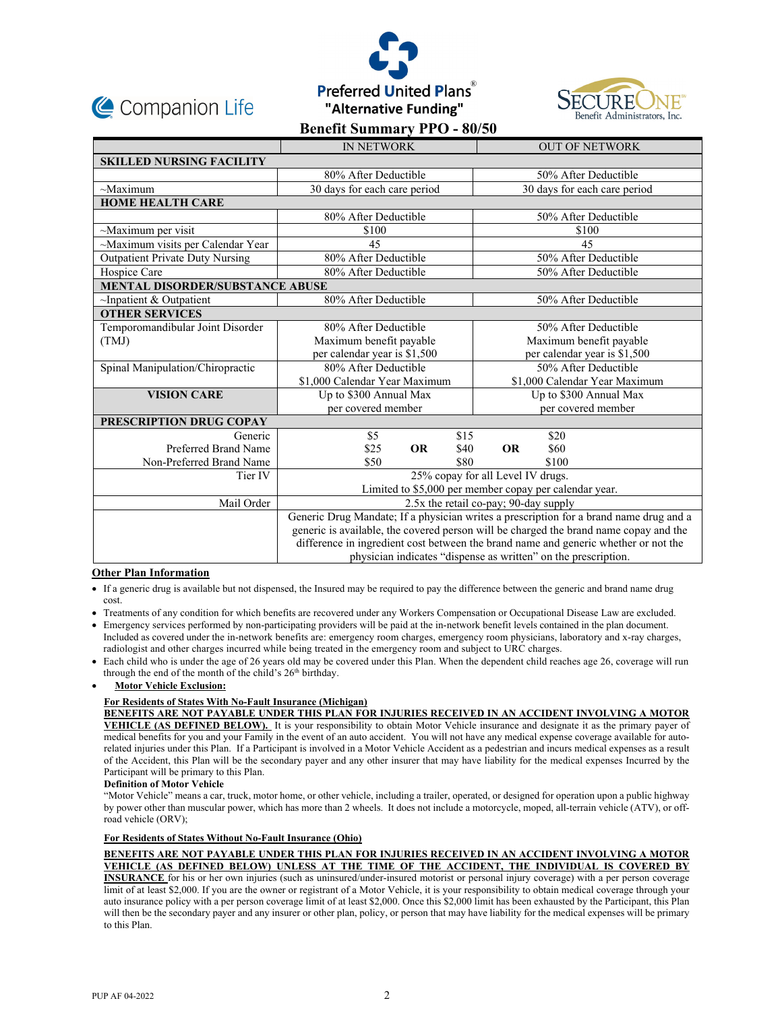





|                                        | <b>IN NETWORK</b>                                                                      |           | <b>OUT OF NETWORK</b>         |                              |       |  |  |  |
|----------------------------------------|----------------------------------------------------------------------------------------|-----------|-------------------------------|------------------------------|-------|--|--|--|
| <b>SKILLED NURSING FACILITY</b>        |                                                                                        |           |                               |                              |       |  |  |  |
|                                        | 80% After Deductible                                                                   |           |                               | 50% After Deductible         |       |  |  |  |
| $\sim$ Maximum                         | 30 days for each care period                                                           |           |                               | 30 days for each care period |       |  |  |  |
| <b>HOME HEALTH CARE</b>                |                                                                                        |           |                               |                              |       |  |  |  |
|                                        | 80% After Deductible                                                                   |           |                               | 50% After Deductible         |       |  |  |  |
| $\sim$ Maximum per visit               | \$100                                                                                  |           |                               | \$100                        |       |  |  |  |
| ~Maximum visits per Calendar Year      | 45                                                                                     |           |                               | 45                           |       |  |  |  |
| <b>Outpatient Private Duty Nursing</b> | 80% After Deductible                                                                   |           | 50% After Deductible          |                              |       |  |  |  |
| Hospice Care                           | 80% After Deductible                                                                   |           |                               | 50% After Deductible         |       |  |  |  |
| MENTAL DISORDER/SUBSTANCE ABUSE        |                                                                                        |           |                               |                              |       |  |  |  |
| $\sim$ Inpatient & Outpatient          | 80% After Deductible                                                                   |           | 50% After Deductible          |                              |       |  |  |  |
| <b>OTHER SERVICES</b>                  |                                                                                        |           |                               |                              |       |  |  |  |
| Temporomandibular Joint Disorder       | 80% After Deductible                                                                   |           |                               | 50% After Deductible         |       |  |  |  |
| (TMJ)                                  | Maximum benefit payable                                                                |           | Maximum benefit payable       |                              |       |  |  |  |
|                                        | per calendar year is \$1,500                                                           |           | per calendar year is \$1,500  |                              |       |  |  |  |
| Spinal Manipulation/Chiropractic       | 80% After Deductible                                                                   |           |                               | 50% After Deductible         |       |  |  |  |
|                                        | \$1,000 Calendar Year Maximum                                                          |           | \$1,000 Calendar Year Maximum |                              |       |  |  |  |
| <b>VISION CARE</b>                     | Up to \$300 Annual Max                                                                 |           |                               | Up to \$300 Annual Max       |       |  |  |  |
|                                        | per covered member                                                                     |           |                               | per covered member           |       |  |  |  |
| PRESCRIPTION DRUG COPAY                |                                                                                        |           |                               |                              |       |  |  |  |
| Generic                                | \$5                                                                                    |           | \$15                          |                              | \$20  |  |  |  |
| Preferred Brand Name                   | \$25                                                                                   | <b>OR</b> | \$40                          | <b>OR</b>                    | \$60  |  |  |  |
| Non-Preferred Brand Name               | \$50                                                                                   |           | \$80                          |                              | \$100 |  |  |  |
| Tier IV                                | 25% copay for all Level IV drugs.                                                      |           |                               |                              |       |  |  |  |
|                                        | Limited to \$5,000 per member copay per calendar year.                                 |           |                               |                              |       |  |  |  |
| Mail Order                             | 2.5x the retail co-pay; 90-day supply                                                  |           |                               |                              |       |  |  |  |
|                                        | Generic Drug Mandate; If a physician writes a prescription for a brand name drug and a |           |                               |                              |       |  |  |  |
|                                        | generic is available, the covered person will be charged the brand name copay and the  |           |                               |                              |       |  |  |  |
|                                        | difference in ingredient cost between the brand name and generic whether or not the    |           |                               |                              |       |  |  |  |
|                                        | physician indicates "dispense as written" on the prescription.                         |           |                               |                              |       |  |  |  |

# **Other Plan Information**

- If a generic drug is available but not dispensed, the Insured may be required to pay the difference between the generic and brand name drug cost.
- Treatments of any condition for which benefits are recovered under any Workers Compensation or Occupational Disease Law are excluded.
- Emergency services performed by non-participating providers will be paid at the in-network benefit levels contained in the plan document. Included as covered under the in-network benefits are: emergency room charges, emergency room physicians, laboratory and x-ray charges, radiologist and other charges incurred while being treated in the emergency room and subject to URC charges.
- Each child who is under the age of 26 years old may be covered under this Plan. When the dependent child reaches age 26, coverage will run through the end of the month of the child's 26<sup>th</sup> birthday.

## **Motor Vehicle Exclusion:**

## **For Residents of States With No-Fault Insurance (Michigan)**

**BENEFITS ARE NOT PAYABLE UNDER THIS PLAN FOR INJURIES RECEIVED IN AN ACCIDENT INVOLVING A MOTOR VEHICLE (AS DEFINED BELOW).** It is your responsibility to obtain Motor Vehicle insurance and designate it as the primary payer of medical benefits for you and your Family in the event of an auto accident. You will not have any medical expense coverage available for autorelated injuries under this Plan. If a Participant is involved in a Motor Vehicle Accident as a pedestrian and incurs medical expenses as a result of the Accident, this Plan will be the secondary payer and any other insurer that may have liability for the medical expenses Incurred by the Participant will be primary to this Plan.

### **Definition of Motor Vehicle**

"Motor Vehicle" means a car, truck, motor home, or other vehicle, including a trailer, operated, or designed for operation upon a public highway by power other than muscular power, which has more than 2 wheels. It does not include a motorcycle, moped, all-terrain vehicle (ATV), or offroad vehicle (ORV);

## **For Residents of States Without No-Fault Insurance (Ohio)**

**BENEFITS ARE NOT PAYABLE UNDER THIS PLAN FOR INJURIES RECEIVED IN AN ACCIDENT INVOLVING A MOTOR VEHICLE (AS DEFINED BELOW) UNLESS AT THE TIME OF THE ACCIDENT, THE INDIVIDUAL IS COVERED BY INSURANCE** for his or her own injuries (such as uninsured/under-insured motorist or personal injury coverage) with a per person coverage limit of at least \$2,000. If you are the owner or registrant of a Motor Vehicle, it is your responsibility to obtain medical coverage through your auto insurance policy with a per person coverage limit of at least \$2,000. Once this \$2,000 limit has been exhausted by the Participant, this Plan will then be the secondary payer and any insurer or other plan, policy, or person that may have liability for the medical expenses will be primary to this Plan.